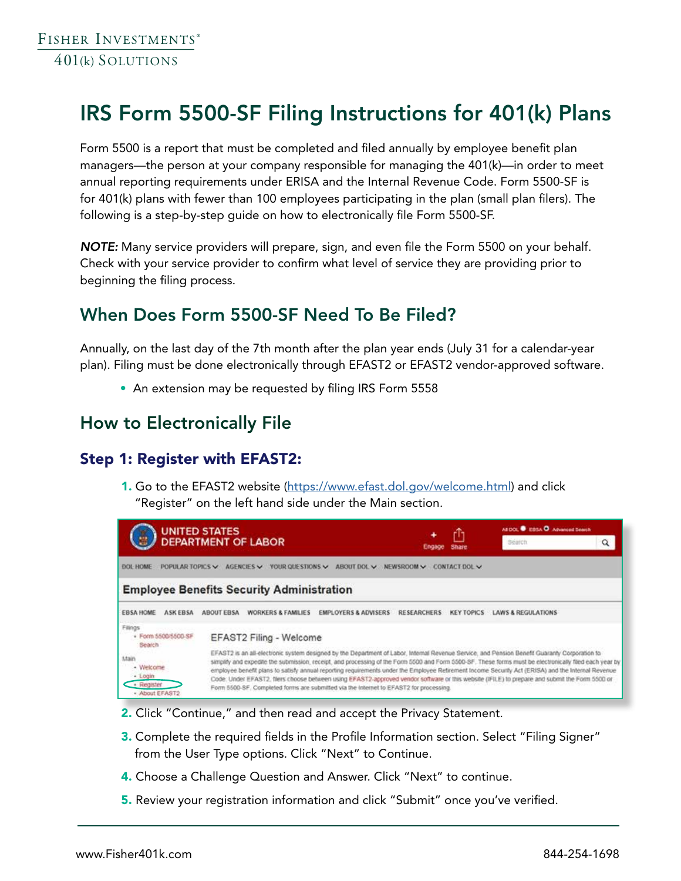# IRS Form 5500-SF Filing Instructions for 401(k) Plans

Form 5500 is a report that must be completed and filed annually by employee benefit plan managers—the person at your company responsible for managing the 401(k)—in order to meet annual reporting requirements under ERISA and the Internal Revenue Code. Form 5500-SF is for 401(k) plans with fewer than 100 employees participating in the plan (small plan filers). The following is a step-by-step guide on how to electronically file Form 5500-SF.

*NOTE:* Many service providers will prepare, sign, and even file the Form 5500 on your behalf. Check with your service provider to confirm what level of service they are providing prior to beginning the filing process.

# When Does Form 5500-SF Need To Be Filed?

Annually, on the last day of the 7th month after the plan year ends (July 31 for a calendar-year plan). Filing must be done electronically through EFAST2 or EFAST2 vendor-approved software.

• An extension may be requested by filing IRS Form 5558

## How to Electronically File

#### Step 1: Register with EFAST2:

1. Go to the EFAST2 website (https://www.efast.dol.gov/welcome.html) and click "Register" on the left hand side under the Main section.



- 2. Click "Continue," and then read and accept the Privacy Statement.
- **3.** Complete the required fields in the Profile Information section. Select "Filing Signer" from the User Type options. Click "Next" to Continue.
- 4. Choose a Challenge Question and Answer. Click "Next" to continue.
- 5. Review your registration information and click "Submit" once you've verified.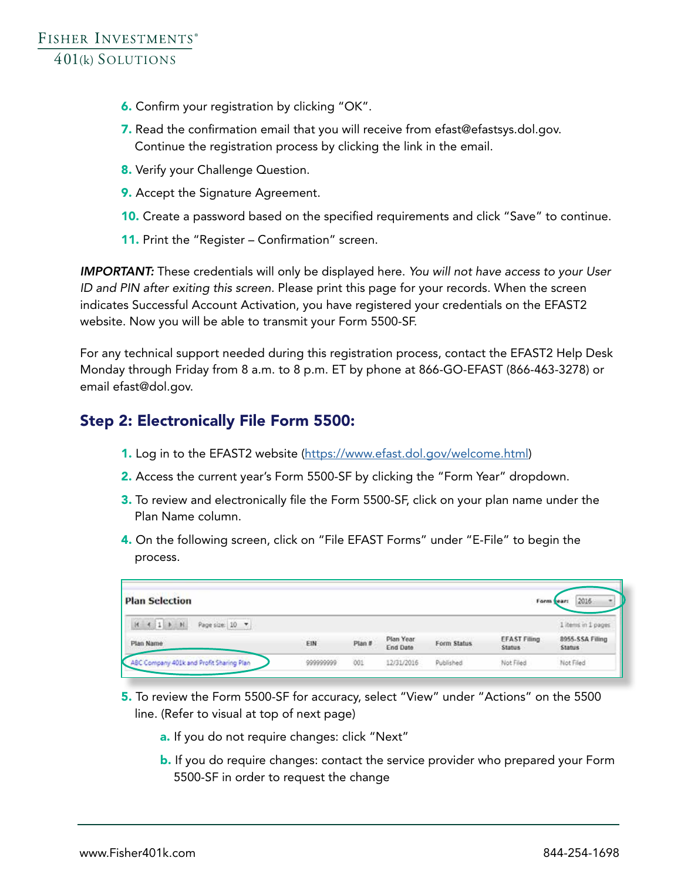- 6. Confirm your registration by clicking "OK".
- 7. Read the confirmation email that you will receive from efast@efastsys.dol.gov. Continue the registration process by clicking the link in the email.
- 8. Verify your Challenge Question.
- 9. Accept the Signature Agreement.
- 10. Create a password based on the specified requirements and click "Save" to continue.
- 11. Print the "Register Confirmation" screen.

*IMPORTANT:* These credentials will only be displayed here. *You will not have access to your User ID and PIN after exiting this screen.* Please print this page for your records. When the screen indicates Successful Account Activation, you have registered your credentials on the EFAST2 website. Now you will be able to transmit your Form 5500-SF.

For any technical support needed during this registration process, contact the EFAST2 Help Desk Monday through Friday from 8 a.m. to 8 p.m. ET by phone at 866-GO-EFAST (866-463-3278) or email efast@dol.gov.

#### Step 2: Electronically File Form 5500:

- 1. Log in to the EFAST2 website (https://www.efast.dol.gov/welcome.html)
- 2. Access the current year's Form 5500-SF by clicking the "Form Year" dropdown.
- **3.** To review and electronically file the Form 5500-SF, click on your plan name under the Plan Name column.
- 4. On the following screen, click on "File EFAST Forms" under "E-File" to begin the process.

| <b>Plan Selection</b>                    |           |        |                       |             |                                      | 2016<br>Form year:         |  |
|------------------------------------------|-----------|--------|-----------------------|-------------|--------------------------------------|----------------------------|--|
| 16<br>411<br>Page size: 10 -             |           |        |                       |             |                                      | 1 items in 1 pages         |  |
| Plan Name                                | EIN       | Plan # | Plan Year<br>End Date | Form Status | <b>EFAST Filing</b><br><b>Status</b> | 8955-SSA Filling<br>Status |  |
| ABC Company 401k and Profit Sharing Plan | 999999999 | 001    | 12/31/2016            | Published   | Not Filed                            | Not Filed                  |  |

- 5. To review the Form 5500-SF for accuracy, select "View" under "Actions" on the 5500 line. (Refer to visual at top of next page)
	- a. If you do not require changes: click "Next"
	- b. If you do require changes: contact the service provider who prepared your Form 5500-SF in order to request the change